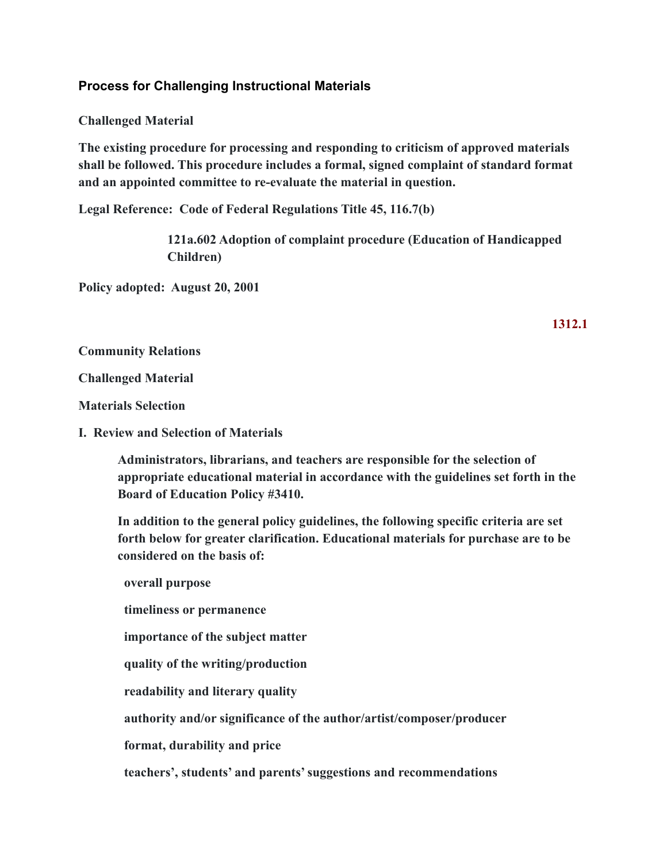## **Process for Challenging Instructional Materials**

**Challenged Material**

**The existing procedure for processing and responding to criticism of approved materials shall be followed. This procedure includes a formal, signed complaint of standard format and an appointed committee to re-evaluate the material in question.**

**Legal Reference: Code of Federal Regulations Title 45, 116.7(b)**

**121a.602 Adoption of complaint procedure (Education of Handicapped Children)**

**Policy adopted: August 20, 2001**

**1312.1**

**Community Relations**

**Challenged Material**

**Materials Selection**

**I. Review and Selection of Materials**

**Administrators, librarians, and teachers are responsible for the selection of appropriate educational material in accordance with the guidelines set forth in the Board of Education Policy #3410.**

**In addition to the general policy guidelines, the following specific criteria are set forth below for greater clarification. Educational materials for purchase are to be considered on the basis of:**

**overall purpose timeliness or permanence importance of the subject matter quality of the writing/production readability and literary quality authority and/or significance of the author/artist/composer/producer format, durability and price**

**teachers', students' and parents' suggestions and recommendations**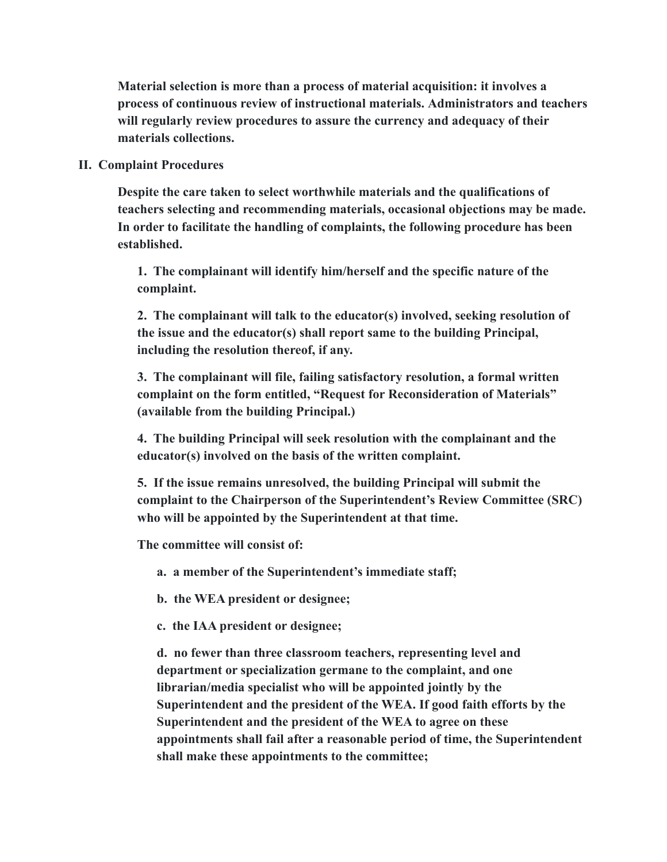**Material selection is more than a process of material acquisition: it involves a process of continuous review of instructional materials. Administrators and teachers will regularly review procedures to assure the currency and adequacy of their materials collections.**

## **II. Complaint Procedures**

**Despite the care taken to select worthwhile materials and the qualifications of teachers selecting and recommending materials, occasional objections may be made. In order to facilitate the handling of complaints, the following procedure has been established.**

**1. The complainant will identify him/herself and the specific nature of the complaint.**

**2. The complainant will talk to the educator(s) involved, seeking resolution of the issue and the educator(s) shall report same to the building Principal, including the resolution thereof, if any.**

**3. The complainant will file, failing satisfactory resolution, a formal written complaint on the form entitled, "Request for Reconsideration of Materials" (available from the building Principal.)**

**4. The building Principal will seek resolution with the complainant and the educator(s) involved on the basis of the written complaint.**

**5. If the issue remains unresolved, the building Principal will submit the complaint to the Chairperson of the Superintendent's Review Committee (SRC) who will be appointed by the Superintendent at that time.**

**The committee will consist of:**

**a. a member of the Superintendent's immediate staff;**

**b. the WEA president or designee;**

**c. the IAA president or designee;**

**d. no fewer than three classroom teachers, representing level and department or specialization germane to the complaint, and one librarian/media specialist who will be appointed jointly by the Superintendent and the president of the WEA. If good faith efforts by the Superintendent and the president of the WEA to agree on these appointments shall fail after a reasonable period of time, the Superintendent shall make these appointments to the committee;**